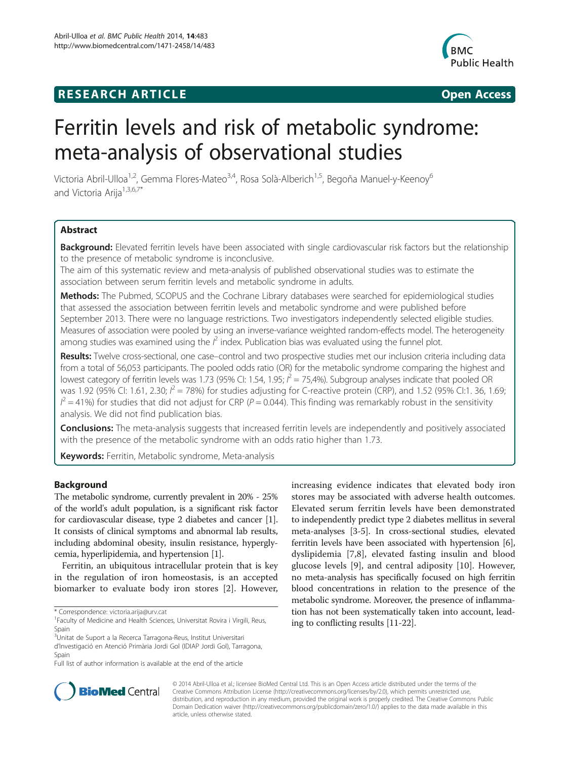# **RESEARCH ARTICLE Example 2008 CONSIDERING CONSIDERING CONSIDERING CONSIDERING CONSIDERING CONSIDERING CONSIDERING CONSIDERING CONSIDERING CONSIDERING CONSIDERING CONSIDERING CONSIDERING CONSIDERING CONSIDERING CONSIDE**



# Ferritin levels and risk of metabolic syndrome: meta-analysis of observational studies

Victoria Abril-Ulloa<sup>1,2</sup>, Gemma Flores-Mateo<sup>3,4</sup>, Rosa Solà-Alberich<sup>1,5</sup>, Begoña Manuel-y-Keenoy<sup>6</sup> and Victoria Arija<sup>1,3,6,7\*</sup>

# Abstract

Background: Elevated ferritin levels have been associated with single cardiovascular risk factors but the relationship to the presence of metabolic syndrome is inconclusive.

The aim of this systematic review and meta-analysis of published observational studies was to estimate the association between serum ferritin levels and metabolic syndrome in adults.

Methods: The Pubmed, SCOPUS and the Cochrane Library databases were searched for epidemiological studies that assessed the association between ferritin levels and metabolic syndrome and were published before September 2013. There were no language restrictions. Two investigators independently selected eligible studies. Measures of association were pooled by using an inverse-variance weighted random-effects model. The heterogeneity among studies was examined using the  $l^2$  index. Publication bias was evaluated using the funnel plot.

Results: Twelve cross-sectional, one case–control and two prospective studies met our inclusion criteria including data from a total of 56,053 participants. The pooled odds ratio (OR) for the metabolic syndrome comparing the highest and lowest category of ferritin levels was 1.73 (95% Cl: 1.54, 1.95;  $l^2$  = 75,4%). Subgroup analyses indicate that pooled OR was 1.92 (95% CI: 1.61, 2.30;  $l^2 = 78$ %) for studies adjusting for C-reactive protein (CRP), and 1.52 (95% CI:1. 36, 1.69; I  $l^2$  = 41%) for studies that did not adjust for CRP (P = 0.044). This finding was remarkably robust in the sensitivity analysis. We did not find publication bias.

**Conclusions:** The meta-analysis suggests that increased ferritin levels are independently and positively associated with the presence of the metabolic syndrome with an odds ratio higher than 1.73.

Keywords: Ferritin, Metabolic syndrome, Meta-analysis

# Background

The metabolic syndrome, currently prevalent in 20% - 25% of the world's adult population, is a significant risk factor for cardiovascular disease, type 2 diabetes and cancer [[1](#page-6-0)]. It consists of clinical symptoms and abnormal lab results, including abdominal obesity, insulin resistance, hyperglycemia, hyperlipidemia, and hypertension [\[1\]](#page-6-0).

Ferritin, an ubiquitous intracellular protein that is key in the regulation of iron homeostasis, is an accepted biomarker to evaluate body iron stores [\[2](#page-6-0)]. However,

<sup>3</sup>Unitat de Suport a la Recerca Tarragona-Reus, Institut Universitari d'Investigació en Atenció Primària Jordi Gol (IDIAP Jordi Gol), Tarragona,

Spain

increasing evidence indicates that elevated body iron stores may be associated with adverse health outcomes. Elevated serum ferritin levels have been demonstrated to independently predict type 2 diabetes mellitus in several meta-analyses [[3-5](#page-6-0)]. In cross-sectional studies, elevated ferritin levels have been associated with hypertension [[6](#page-7-0)], dyslipidemia [\[7,8\]](#page-7-0), elevated fasting insulin and blood glucose levels [[9\]](#page-7-0), and central adiposity [\[10](#page-7-0)]. However, no meta-analysis has specifically focused on high ferritin blood concentrations in relation to the presence of the metabolic syndrome. Moreover, the presence of inflammation has not been systematically taken into account, leading to conflicting results [\[11-22\]](#page-7-0).



© 2014 Abril-Ulloa et al.; licensee BioMed Central Ltd. This is an Open Access article distributed under the terms of the Creative Commons Attribution License (<http://creativecommons.org/licenses/by/2.0>), which permits unrestricted use, distribution, and reproduction in any medium, provided the original work is properly credited. The Creative Commons Public Domain Dedication waiver [\(http://creativecommons.org/publicdomain/zero/1.0/\)](http://creativecommons.org/publicdomain/zero/1.0/) applies to the data made available in this article, unless otherwise stated.

<sup>\*</sup> Correspondence: [victoria.arija@urv.cat](mailto:victoria.arija@urv.cat) <sup>1</sup>

Faculty of Medicine and Health Sciences, Universitat Rovira i Virgili, Reus, Spain

Full list of author information is available at the end of the article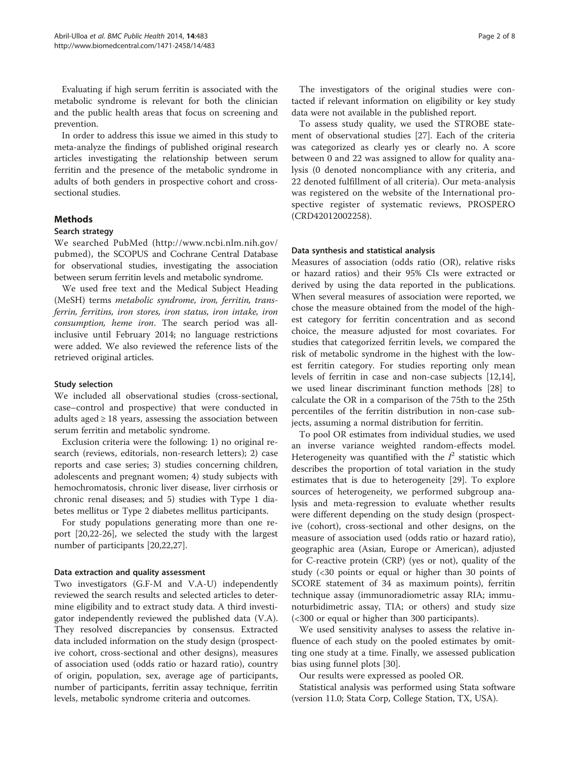Evaluating if high serum ferritin is associated with the metabolic syndrome is relevant for both the clinician and the public health areas that focus on screening and prevention.

In order to address this issue we aimed in this study to meta-analyze the findings of published original research articles investigating the relationship between serum ferritin and the presence of the metabolic syndrome in adults of both genders in prospective cohort and crosssectional studies.

# Methods

# Search strategy

We searched PubMed ([http://www.ncbi.nlm.nih.gov/](http://www.ncbi.nlm.nih.gov/pubmed) [pubmed\)](http://www.ncbi.nlm.nih.gov/pubmed), the SCOPUS and Cochrane Central Database for observational studies, investigating the association between serum ferritin levels and metabolic syndrome.

We used free text and the Medical Subject Heading (MeSH) terms metabolic syndrome, iron, ferritin, transferrin, ferritins, iron stores, iron status, iron intake, iron consumption, heme iron. The search period was allinclusive until February 2014; no language restrictions were added. We also reviewed the reference lists of the retrieved original articles.

# Study selection

We included all observational studies (cross-sectional, case–control and prospective) that were conducted in adults aged  $\geq$  18 years, assessing the association between serum ferritin and metabolic syndrome.

Exclusion criteria were the following: 1) no original research (reviews, editorials, non-research letters); 2) case reports and case series; 3) studies concerning children, adolescents and pregnant women; 4) study subjects with hemochromatosis, chronic liver disease, liver cirrhosis or chronic renal diseases; and 5) studies with Type 1 diabetes mellitus or Type 2 diabetes mellitus participants.

For study populations generating more than one report [[20,22](#page-7-0)-[26\]](#page-7-0), we selected the study with the largest number of participants [[20,22,27\]](#page-7-0).

#### Data extraction and quality assessment

Two investigators (G.F-M and V.A-U) independently reviewed the search results and selected articles to determine eligibility and to extract study data. A third investigator independently reviewed the published data (V.A). They resolved discrepancies by consensus. Extracted data included information on the study design (prospective cohort, cross-sectional and other designs), measures of association used (odds ratio or hazard ratio), country of origin, population, sex, average age of participants, number of participants, ferritin assay technique, ferritin levels, metabolic syndrome criteria and outcomes.

The investigators of the original studies were contacted if relevant information on eligibility or key study data were not available in the published report.

To assess study quality, we used the STROBE statement of observational studies [[27\]](#page-7-0). Each of the criteria was categorized as clearly yes or clearly no. A score between 0 and 22 was assigned to allow for quality analysis (0 denoted noncompliance with any criteria, and 22 denoted fulfillment of all criteria). Our meta-analysis was registered on the website of the International prospective register of systematic reviews, PROSPERO (CRD42012002258).

#### Data synthesis and statistical analysis

Measures of association (odds ratio (OR), relative risks or hazard ratios) and their 95% CIs were extracted or derived by using the data reported in the publications. When several measures of association were reported, we chose the measure obtained from the model of the highest category for ferritin concentration and as second choice, the measure adjusted for most covariates. For studies that categorized ferritin levels, we compared the risk of metabolic syndrome in the highest with the lowest ferritin category. For studies reporting only mean levels of ferritin in case and non-case subjects [\[12,14](#page-7-0)], we used linear discriminant function methods [\[28](#page-7-0)] to calculate the OR in a comparison of the 75th to the 25th percentiles of the ferritin distribution in non-case subjects, assuming a normal distribution for ferritin.

To pool OR estimates from individual studies, we used an inverse variance weighted random-effects model. Heterogeneity was quantified with the  $I^2$  statistic which describes the proportion of total variation in the study estimates that is due to heterogeneity [[29\]](#page-7-0). To explore sources of heterogeneity, we performed subgroup analysis and meta-regression to evaluate whether results were different depending on the study design (prospective (cohort), cross-sectional and other designs, on the measure of association used (odds ratio or hazard ratio), geographic area (Asian, Europe or American), adjusted for C-reactive protein (CRP) (yes or not), quality of the study (<30 points or equal or higher than 30 points of SCORE statement of 34 as maximum points), ferritin technique assay (immunoradiometric assay RIA; immunoturbidimetric assay, TIA; or others) and study size (<300 or equal or higher than 300 participants).

We used sensitivity analyses to assess the relative influence of each study on the pooled estimates by omitting one study at a time. Finally, we assessed publication bias using funnel plots [\[30](#page-7-0)].

Our results were expressed as pooled OR.

Statistical analysis was performed using Stata software (version 11.0; Stata Corp, College Station, TX, USA).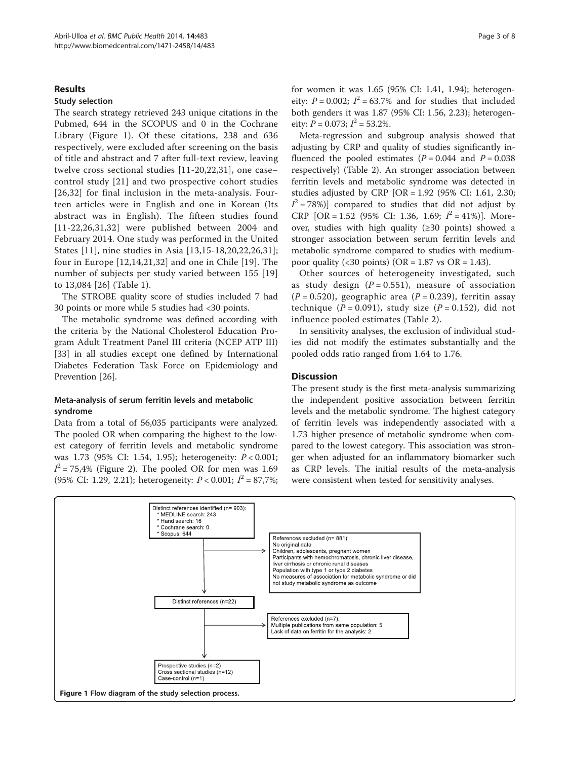# Results

# Study selection

The search strategy retrieved 243 unique citations in the Pubmed, 644 in the SCOPUS and 0 in the Cochrane Library (Figure 1). Of these citations, 238 and 636 respectively, were excluded after screening on the basis of title and abstract and 7 after full-text review, leaving twelve cross sectional studies [[11-20,22](#page-7-0),[31\]](#page-7-0), one case– control study [[21](#page-7-0)] and two prospective cohort studies [[26](#page-7-0),[32\]](#page-7-0) for final inclusion in the meta-analysis. Fourteen articles were in English and one in Korean (Its abstract was in English). The fifteen studies found [[11](#page-7-0)-[22](#page-7-0),[26,31](#page-7-0),[32\]](#page-7-0) were published between 2004 and February 2014. One study was performed in the United States [\[11](#page-7-0)], nine studies in Asia [[13](#page-7-0),[15-18,20](#page-7-0),[22,26,31](#page-7-0)]; four in Europe [[12,14,21](#page-7-0),[32\]](#page-7-0) and one in Chile [\[19](#page-7-0)]. The number of subjects per study varied between 155 [[19](#page-7-0)] to 13,084 [[26](#page-7-0)] (Table [1](#page-3-0)).

The STROBE quality score of studies included 7 had 30 points or more while 5 studies had <30 points.

The metabolic syndrome was defined according with the criteria by the National Cholesterol Education Program Adult Treatment Panel III criteria (NCEP ATP III) [[33\]](#page-7-0) in all studies except one defined by International Diabetes Federation Task Force on Epidemiology and Prevention [\[26\]](#page-7-0).

# Meta-analysis of serum ferritin levels and metabolic syndrome

Data from a total of 56,035 participants were analyzed. The pooled OR when comparing the highest to the lowest category of ferritin levels and metabolic syndrome was 1.73 (95% CI: 1.54, 1.95); heterogeneity: P < 0.001;  $I^2$  = 75,4% (Figure [2\)](#page-4-0). The pooled OR for men was 1.69 (95% CI: 1.29, 2.21); heterogeneity:  $P < 0.001$ ;  $I^2 = 87.7$ %;

for women it was 1.65 (95% CI: 1.41, 1.94); heterogeneity:  $P = 0.002$ ;  $I^2 = 63.7\%$  and for studies that included both genders it was 1.87 (95% CI: 1.56, 2.23); heterogeneity:  $P = 0.073$ ;  $I^2 = 53.2\%$ .

Meta-regression and subgroup analysis showed that adjusting by CRP and quality of studies significantly influenced the pooled estimates  $(P = 0.044$  and  $P = 0.038$ respectively) (Table [2](#page-5-0)). An stronger association between ferritin levels and metabolic syndrome was detected in studies adjusted by CRP [OR = 1.92 (95% CI: 1.61, 2.30;  $I^2$  = 78%)] compared to studies that did not adjust by CRP [OR = 1.52 (95% CI: 1.36, 1.69;  $I^2 = 41\%$ )]. Moreover, studies with high quality (≥30 points) showed a stronger association between serum ferritin levels and metabolic syndrome compared to studies with mediumpoor quality (<30 points) (OR =  $1.87$  vs OR =  $1.43$ ).

Other sources of heterogeneity investigated, such as study design  $(P = 0.551)$ , measure of association  $(P = 0.520)$ , geographic area  $(P = 0.239)$ , ferritin assay technique ( $P = 0.091$ ), study size ( $P = 0.152$ ), did not influence pooled estimates (Table [2](#page-5-0)).

In sensitivity analyses, the exclusion of individual studies did not modify the estimates substantially and the pooled odds ratio ranged from 1.64 to 1.76.

# **Discussion**

The present study is the first meta-analysis summarizing the independent positive association between ferritin levels and the metabolic syndrome. The highest category of ferritin levels was independently associated with a 1.73 higher presence of metabolic syndrome when compared to the lowest category. This association was stronger when adjusted for an inflammatory biomarker such as CRP levels. The initial results of the meta-analysis were consistent when tested for sensitivity analyses.

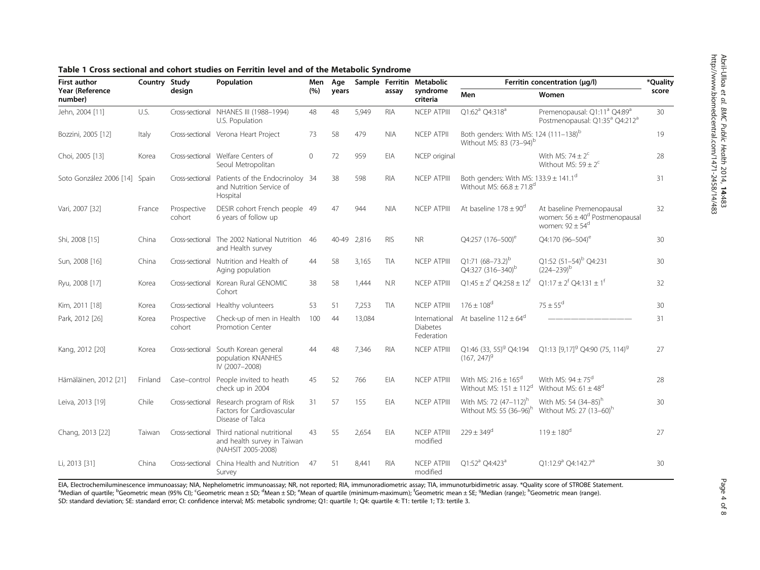| <b>First author</b><br>Year (Reference<br>number) | Country Study | design                | Population                                                                              | Men<br>(%) | Age<br>years |        | assay      | Sample Ferritin Metabolic<br>syndrome<br>criteria | Ferritin concentration (µg/l)                                                            |                                                                                                                |       |
|---------------------------------------------------|---------------|-----------------------|-----------------------------------------------------------------------------------------|------------|--------------|--------|------------|---------------------------------------------------|------------------------------------------------------------------------------------------|----------------------------------------------------------------------------------------------------------------|-------|
|                                                   |               |                       |                                                                                         |            |              |        |            |                                                   | Men                                                                                      | Women                                                                                                          | score |
| Jehn, 2004 [11]                                   | U.S.          |                       | Cross-sectional NHANES III (1988-1994)<br>U.S. Population                               | 48         | 48           | 5,949  | <b>RIA</b> | NCEP ATPIII                                       | Q1:62 <sup>ª</sup> Q4:318 <sup>ª</sup>                                                   | Premenopausal: Q1:11 <sup>ª</sup> Q4:89 <sup>ª</sup><br>Postmenopausal: Q1:35 <sup>a</sup> Q4:212 <sup>a</sup> | 30    |
| Bozzini, 2005 [12]                                | Italy         |                       | Cross-sectional Verona Heart Project                                                    | 73         | 58           | 479    | <b>NIA</b> | NCEP ATPII                                        | Both genders: With MS: 124 (111-138) <sup>b</sup><br>Without MS: 83 (73-94) <sup>b</sup> |                                                                                                                | 19    |
| Choi, 2005 [13]                                   | Korea         |                       | Cross-sectional Welfare Centers of<br>Seoul Metropolitan                                | $\circ$    | 72           | 959    | EIA        | NCEP original                                     |                                                                                          | With MS: $74 \pm 2^c$<br>Without MS: $59 \pm 2^{\circ}$                                                        | 28    |
| Soto González 2006 [14]                           | Spain         |                       | Cross-sectional Patients of the Endocrinoloy 34<br>and Nutrition Service of<br>Hospital |            | 38           | 598    | <b>RIA</b> | NCEP ATPIII                                       | Both genders: With MS: $133.9 \pm 141.1^d$<br>Without MS: $66.8 \pm 71.8$ <sup>d</sup>   |                                                                                                                | 31    |
| Vari, 2007 [32]                                   | France        | Prospective<br>cohort | DESIR cohort French people 49<br>6 years of follow up                                   |            | 47           | 944    | <b>NIA</b> | <b>NCEP ATPIII</b>                                | At baseline $178 \pm 90^{\circ}$                                                         | At baseline Premenopausal<br>women: $56 \pm 40^{\circ}$ Postmenopausal<br>women: $92 \pm 54^d$                 | 32    |
| Shi, 2008 [15]                                    | China         | Cross-sectional       | The 2002 National Nutrition<br>and Health survey                                        | 46         | $40 - 49$    | 2,816  | <b>RIS</b> | <b>NR</b>                                         | Q4:257 (176-500) <sup>e</sup>                                                            | Q4:170 (96-504) <sup>e</sup>                                                                                   | 30    |
| Sun, 2008 [16]                                    | China         | Cross-sectional       | Nutrition and Health of<br>Aging population                                             | 44         | 58           | 3.165  | <b>TIA</b> | <b>NCEP ATPIII</b>                                | Q1:71 $(68-73.2)^b$<br>Q4:327 (316-340) <sup>b</sup>                                     | Q1:52 (51-54) <sup>b</sup> Q4:231<br>$(224 - 239)^{b}$                                                         | 30    |
| Ryu, 2008 [17]                                    | Korea         |                       | Cross-sectional Korean Rural GENOMIC<br>Cohort                                          | 38         | 58           | 1.444  | N.R        | <b>NCEP ATPIII</b>                                | $Q1:45 \pm 2^{f} Q4:258 \pm 12^{f}$                                                      | $Q1:17 \pm 2^{f} Q4:131 \pm 1^{f}$                                                                             | 32    |
| Kim, 2011 [18]                                    | Korea         | Cross-sectional       | Healthy volunteers                                                                      | 53         | 51           | 7,253  | <b>TIA</b> | <b>NCEP ATPIII</b>                                | $176 \pm 108$ <sup>d</sup>                                                               | $75 \pm 55^{\circ}$                                                                                            | 30    |
| Park, 2012 [26]                                   | Korea         | Prospective<br>cohort | Check-up of men in Health<br>Promotion Center                                           | 100        | 44           | 13,084 |            | International<br><b>Diabetes</b><br>Federation    | At baseline $112 \pm 64^d$                                                               |                                                                                                                | 31    |
| Kang, 2012 [20]                                   | Korea         | Cross-sectional       | South Korean general<br>population KNANHES<br>IV (2007-2008)                            | 44         | 48           | 7,346  | <b>RIA</b> | NCEP ATPIII                                       | Q1:46 (33, 55) <sup>9</sup> Q4:194<br>$(167, 247)^9$                                     | Q1:13 [9,17] <sup>9</sup> Q4:90 (75, 114) <sup>9</sup>                                                         | 27    |
| Hämäläinen, 2012 [21]                             | Finland       |                       | Case-control People invited to heath<br>check up in 2004                                | 45         | 52           | 766    | EIA        | <b>NCEP ATPIII</b>                                | With MS: $216 \pm 165^d$<br>Without MS: $151 \pm 112^d$                                  | With MS: $94 \pm 75^{\circ}$<br>Without MS: 61 $\pm$ 48 <sup>d</sup>                                           | 28    |
| Leiva, 2013 [19]                                  | Chile         | Cross-sectional       | Research program of Risk<br>Factors for Cardiovascular<br>Disease of Talca              | 31         | 57           | 155    | EIA        | NCEP ATPIII                                       | With MS: 72 (47-112) <sup>h</sup><br>Without MS: 55 (36-96) <sup>h</sup>                 | With MS: 54 (34-85) <sup>h</sup><br>Without MS: 27 (13-60)h                                                    | 30    |
| Chang, 2013 [22]                                  | Taiwan        | Cross-sectional       | Third national nutritional<br>and health survey in Taiwan<br>(NAHSIT 2005-2008)         | 43         | 55           | 2,654  | EIA        | <b>NCEP ATPIII</b><br>modified                    | $229 \pm 349^d$                                                                          | $119 \pm 180^{\circ}$                                                                                          | 27    |
| Li, 2013 [31]                                     | China         | Cross-sectional       | China Health and Nutrition<br>Survey                                                    | 47         | 51           | 8.441  | <b>RIA</b> | <b>NCEP ATPIII</b><br>modified                    | O1:52ª O4:423ª                                                                           | Q1:12.9 <sup>a</sup> Q4:142.7 <sup>a</sup>                                                                     | 30    |

#### <span id="page-3-0"></span>Table 1 Cross sectional and cohort studies on Ferritin level and of the Metabolic Syndrome

EIA, Electrochemiluminescence immunoassay; NIA, Nephelometric immunoassay; NR, not reported; RIA, immunoradiometric assay; TIA, immunoturbidimetric assay. \*Quality score of STROBE Statement. Median of quartile; <sup>b</sup>Geometric mean (95% Cl); <sup>C</sup>Geometric mean ± SD; <sup>d</sup>Mean ± SD; <sup>e</sup>Mean of quartile (minimum-maximum); <sup>f</sup>Geometric mean ± SE; <sup>9</sup>Median (range); <sup>h</sup>Geometric mean (range). SD: standard deviation; SE: standard error; CI: confidence interval; MS: metabolic syndrome; Q1: quartile 1; Q4: quartile 4: T1: tertile 1; T3: tertile 3.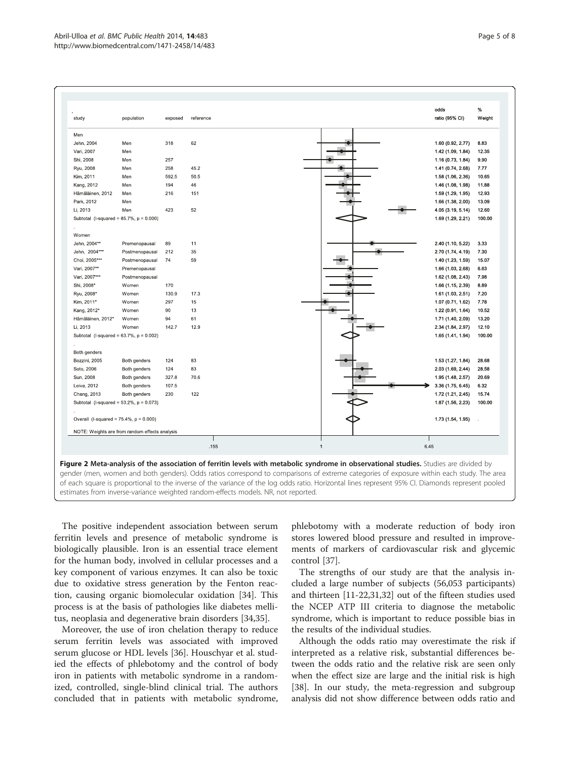<span id="page-4-0"></span>

| study                                  | population                                     | exposed | reference                                                                                                                             |                |                                                                                                                                           | ratio (95% CI)    | Weight |
|----------------------------------------|------------------------------------------------|---------|---------------------------------------------------------------------------------------------------------------------------------------|----------------|-------------------------------------------------------------------------------------------------------------------------------------------|-------------------|--------|
| Men                                    |                                                |         |                                                                                                                                       |                |                                                                                                                                           |                   |        |
| Jehn, 2004                             | Men                                            | 318     | 62                                                                                                                                    |                |                                                                                                                                           | 1.60 (0.92, 2.77) | 8.83   |
| Vari, 2007                             | Men                                            |         |                                                                                                                                       |                |                                                                                                                                           | 1.42 (1.09, 1.84) | 12.35  |
| Shi, 2008                              | Men                                            | 257     |                                                                                                                                       |                |                                                                                                                                           | 1.16 (0.73, 1.84) | 9.90   |
| Ryu, 2008                              | Men                                            | 258     | 45.2                                                                                                                                  |                |                                                                                                                                           | 1.41 (0.74, 2.68) | 7.77   |
| Kim, 2011                              | Men                                            | 592.5   | 50.5                                                                                                                                  |                |                                                                                                                                           | 1.58 (1.06, 2.36) | 10.65  |
| Kang, 2012                             | Men                                            | 194     | 46                                                                                                                                    |                |                                                                                                                                           | 1.46 (1.08, 1.98) | 11.88  |
| Hämäläinen, 2012                       | Men                                            | 216     | 151                                                                                                                                   |                |                                                                                                                                           | 1.59 (1.29, 1.95) | 12.93  |
| Park, 2012                             | Men                                            |         |                                                                                                                                       |                |                                                                                                                                           | 1.66 (1.38, 2.00) | 13.09  |
| Li, 2013                               | Men                                            | 423     | 52                                                                                                                                    |                |                                                                                                                                           | 4.05 (3.19, 5.14) | 12.60  |
|                                        | Subtotal (I-squared = $85.7\%$ , $p = 0.000$ ) |         |                                                                                                                                       |                |                                                                                                                                           | 1.69 (1.29, 2.21) | 100.00 |
| Women                                  |                                                |         |                                                                                                                                       |                |                                                                                                                                           |                   |        |
| Jehn, 2004**                           | Premenopausal                                  | 89      | 11                                                                                                                                    |                |                                                                                                                                           | 2.40 (1.10, 5.22) | 3.33   |
| Jehn, 2004***                          | Postmenopausal                                 | 212     | 35                                                                                                                                    |                |                                                                                                                                           | 2.70 (1.74, 4.19) | 7.30   |
| Choi, 2005***                          | Postmenopausal                                 | 74      | 59                                                                                                                                    |                |                                                                                                                                           | 1.40 (1.23, 1.59) | 15.07  |
| Vari, 2007**                           | Premenopausal                                  |         |                                                                                                                                       |                |                                                                                                                                           | 1.66 (1.03, 2.68) | 6.63   |
| Vari, 2007***                          | Postmenopausal                                 |         |                                                                                                                                       |                |                                                                                                                                           | 1.62 (1.08, 2.43) | 7.98   |
| Shi, 2008*                             | Women                                          | 170     |                                                                                                                                       |                |                                                                                                                                           | 1.66 (1.15, 2.39) | 8.89   |
| Ryu, 2008*                             | Women                                          | 130.9   | 17.3                                                                                                                                  |                |                                                                                                                                           | 1.61 (1.03, 2.51) | 7.20   |
| Kim, 2011*                             | Women                                          | 297     | 15                                                                                                                                    |                |                                                                                                                                           | 1.07 (0.71, 1.62) | 7.78   |
| Kang, 2012*                            | Women                                          | 90      | 13                                                                                                                                    |                |                                                                                                                                           | 1.22 (0.91, 1.64) | 10.52  |
| Hämäläinen, 2012*                      | Women                                          | 94      | 61                                                                                                                                    |                |                                                                                                                                           | 1.71 (1.40, 2.09) | 13.20  |
| Li, 2013                               | Women                                          | 142.7   | 12.9                                                                                                                                  |                |                                                                                                                                           | 2.34 (1.84, 2.97) | 12.10  |
|                                        | Subtotal (I-squared = $63.7\%$ , $p = 0.002$ ) |         |                                                                                                                                       |                |                                                                                                                                           | 1.65 (1.41, 1.94) | 100.00 |
| Both genders                           |                                                |         |                                                                                                                                       |                |                                                                                                                                           |                   |        |
| Bozzini, 2005                          | Both genders                                   | 124     | 83                                                                                                                                    |                |                                                                                                                                           | 1.53 (1.27, 1.84) | 28.68  |
| Soto, 2006                             | Both genders                                   | 124     | 83                                                                                                                                    |                |                                                                                                                                           | 2.03 (1.69, 2.44) | 28.58  |
| Sun, 2008                              | Both genders                                   | 327.8   | 70.6                                                                                                                                  |                |                                                                                                                                           | 1.95 (1.48, 2.57) | 20.69  |
| Leiva, 2012                            | Both genders                                   | 107.5   |                                                                                                                                       |                |                                                                                                                                           | 3.36 (1.75, 6.45) | 6.32   |
| Chang, 2013                            | Both genders                                   | 230     | 122                                                                                                                                   |                |                                                                                                                                           | 1.72 (1.21, 2.45) | 15.74  |
|                                        | Subtotal (I-squared = $53.2\%$ , $p = 0.073$ ) |         |                                                                                                                                       |                |                                                                                                                                           | 1.87 (1.56, 2.23) | 100.00 |
| Overall (I-squared = 75.4%, p = 0.000) |                                                |         |                                                                                                                                       |                |                                                                                                                                           | 1.73 (1.54, 1.95) |        |
|                                        | NOTE: Weights are from random effects analysis |         |                                                                                                                                       |                |                                                                                                                                           |                   |        |
|                                        |                                                |         | .155                                                                                                                                  | $\overline{1}$ |                                                                                                                                           | 6.45              |        |
|                                        |                                                |         |                                                                                                                                       |                |                                                                                                                                           |                   |        |
|                                        |                                                |         | Figure 2 Meta-analysis of the association of ferritin levels with metabolic syndrome in observational studies. Studies are divided by |                | gender (men, women and both genders). Odds ratios correspond to comparisons of extreme categories of exposure within each study. The area |                   |        |

The positive independent association between serum ferritin levels and presence of metabolic syndrome is biologically plausible. Iron is an essential trace element for the human body, involved in cellular processes and a key component of various enzymes. It can also be toxic due to oxidative stress generation by the Fenton reaction, causing organic biomolecular oxidation [[34\]](#page-7-0). This process is at the basis of pathologies like diabetes mellitus, neoplasia and degenerative brain disorders [[34,35\]](#page-7-0).

Moreover, the use of iron chelation therapy to reduce serum ferritin levels was associated with improved serum glucose or HDL levels [[36\]](#page-7-0). Houschyar et al. studied the effects of phlebotomy and the control of body iron in patients with metabolic syndrome in a randomized, controlled, single-blind clinical trial. The authors concluded that in patients with metabolic syndrome,

phlebotomy with a moderate reduction of body iron stores lowered blood pressure and resulted in improvements of markers of cardiovascular risk and glycemic control [\[37](#page-7-0)].

The strengths of our study are that the analysis included a large number of subjects (56,053 participants) and thirteen [[11](#page-7-0)-[22,31,32\]](#page-7-0) out of the fifteen studies used the NCEP ATP III criteria to diagnose the metabolic syndrome, which is important to reduce possible bias in the results of the individual studies.

Although the odds ratio may overestimate the risk if interpreted as a relative risk, substantial differences between the odds ratio and the relative risk are seen only when the effect size are large and the initial risk is high [[38\]](#page-7-0). In our study, the meta-regression and subgroup analysis did not show difference between odds ratio and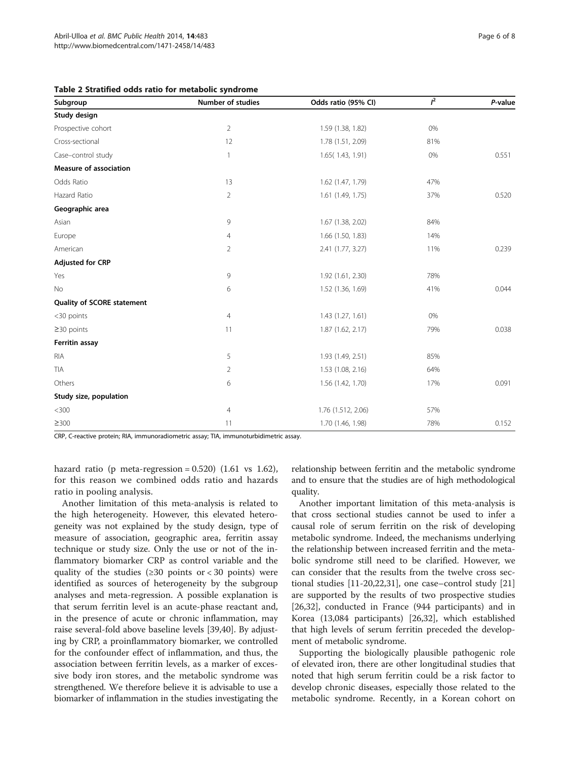<span id="page-5-0"></span>

|  |  |  |  |  | Table 2 Stratified odds ratio for metabolic syndrome |  |
|--|--|--|--|--|------------------------------------------------------|--|
|--|--|--|--|--|------------------------------------------------------|--|

| Subgroup                      | Number of studies | Odds ratio (95% CI) | $\overline{I^2}$ | P-value |
|-------------------------------|-------------------|---------------------|------------------|---------|
| Study design                  |                   |                     |                  |         |
| Prospective cohort            | $\overline{2}$    | 1.59 (1.38, 1.82)   | 0%               |         |
| Cross-sectional               | 12                | 1.78 (1.51, 2.09)   | 81%              |         |
| Case-control study            | 1                 | 1.65 (1.43, 1.91)   | 0%               | 0.551   |
| <b>Measure of association</b> |                   |                     |                  |         |
| Odds Ratio                    | 13                | 1.62 (1.47, 1.79)   | 47%              |         |
| Hazard Ratio                  | $\overline{2}$    | 1.61 (1.49, 1.75)   | 37%              | 0.520   |
| Geographic area               |                   |                     |                  |         |
| Asian                         | 9                 | 1.67 (1.38, 2.02)   | 84%              |         |
| Europe                        | $\overline{4}$    | 1.66 (1.50, 1.83)   | 14%              |         |
| American                      | $\overline{c}$    | 2.41 (1.77, 3.27)   | 11%              | 0.239   |
| <b>Adjusted for CRP</b>       |                   |                     |                  |         |
| Yes                           | 9                 | 1.92 (1.61, 2.30)   | 78%              |         |
| No                            | 6                 | 1.52 (1.36, 1.69)   | 41%              | 0.044   |
| Quality of SCORE statement    |                   |                     |                  |         |
| $<$ 30 points                 | $\overline{4}$    | 1.43 (1.27, 1.61)   | 0%               |         |
| $\geq$ 30 points              | 11                | 1.87 (1.62, 2.17)   | 79%              | 0.038   |
| Ferritin assay                |                   |                     |                  |         |
| <b>RIA</b>                    | 5                 | 1.93 (1.49, 2.51)   | 85%              |         |
| TIA                           | 2                 | 1.53 (1.08, 2.16)   | 64%              |         |
| Others                        | 6                 | 1.56 (1.42, 1.70)   | 17%              | 0.091   |
| Study size, population        |                   |                     |                  |         |
| $<$ 300                       | $\overline{4}$    | 1.76 (1.512, 2.06)  | 57%              |         |
| $\geq$ 300                    | 11                | 1.70 (1.46, 1.98)   | 78%              | 0.152   |

CRP, C-reactive protein; RIA, immunoradiometric assay; TIA, immunoturbidimetric assay.

hazard ratio (p meta-regression =  $0.520$ ) (1.61 vs 1.62), for this reason we combined odds ratio and hazards ratio in pooling analysis.

Another limitation of this meta-analysis is related to the high heterogeneity. However, this elevated heterogeneity was not explained by the study design, type of measure of association, geographic area, ferritin assay technique or study size. Only the use or not of the inflammatory biomarker CRP as control variable and the quality of the studies ( $\geq$ 30 points or < 30 points) were identified as sources of heterogeneity by the subgroup analyses and meta-regression. A possible explanation is that serum ferritin level is an acute-phase reactant and, in the presence of acute or chronic inflammation, may raise several-fold above baseline levels [\[39,40](#page-7-0)]. By adjusting by CRP, a proinflammatory biomarker, we controlled for the confounder effect of inflammation, and thus, the association between ferritin levels, as a marker of excessive body iron stores, and the metabolic syndrome was strengthened. We therefore believe it is advisable to use a biomarker of inflammation in the studies investigating the relationship between ferritin and the metabolic syndrome and to ensure that the studies are of high methodological quality.

Another important limitation of this meta-analysis is that cross sectional studies cannot be used to infer a causal role of serum ferritin on the risk of developing metabolic syndrome. Indeed, the mechanisms underlying the relationship between increased ferritin and the metabolic syndrome still need to be clarified. However, we can consider that the results from the twelve cross sectional studies [\[11](#page-7-0)-[20,22,31\]](#page-7-0), one case–control study [[21](#page-7-0)] are supported by the results of two prospective studies [[26,32\]](#page-7-0), conducted in France (944 participants) and in Korea (13,084 participants) [[26](#page-7-0),[32](#page-7-0)], which established that high levels of serum ferritin preceded the development of metabolic syndrome.

Supporting the biologically plausible pathogenic role of elevated iron, there are other longitudinal studies that noted that high serum ferritin could be a risk factor to develop chronic diseases, especially those related to the metabolic syndrome. Recently, in a Korean cohort on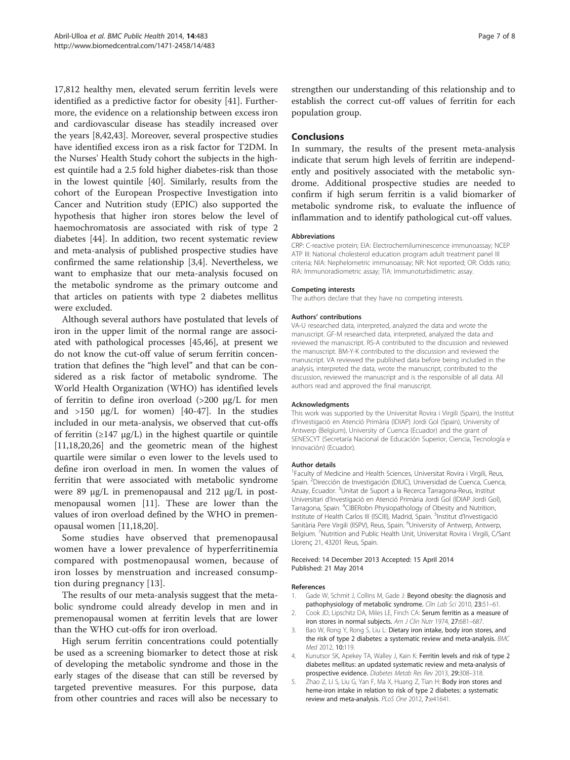<span id="page-6-0"></span>17,812 healthy men, elevated serum ferritin levels were identified as a predictive factor for obesity [\[41\]](#page-7-0). Furthermore, the evidence on a relationship between excess iron and cardiovascular disease has steadily increased over the years [[8,42,43\]](#page-7-0). Moreover, several prospective studies have identified excess iron as a risk factor for T2DM. In the Nurses' Health Study cohort the subjects in the highest quintile had a 2.5 fold higher diabetes-risk than those in the lowest quintile [[40\]](#page-7-0). Similarly, results from the cohort of the European Prospective Investigation into Cancer and Nutrition study (EPIC) also supported the hypothesis that higher iron stores below the level of haemochromatosis are associated with risk of type 2 diabetes [[44\]](#page-7-0). In addition, two recent systematic review and meta-analysis of published prospective studies have confirmed the same relationship [3,4]. Nevertheless, we want to emphasize that our meta-analysis focused on the metabolic syndrome as the primary outcome and that articles on patients with type 2 diabetes mellitus were excluded.

Although several authors have postulated that levels of iron in the upper limit of the normal range are associated with pathological processes [\[45,46\]](#page-7-0), at present we do not know the cut-off value of serum ferritin concentration that defines the "high level" and that can be considered as a risk factor of metabolic syndrome. The World Health Organization (WHO) has identified levels of ferritin to define iron overload (>200 μg/L for men and >150 μg/L for women) [\[40-47](#page-7-0)]. In the studies included in our meta-analysis, we observed that cut-offs of ferritin  $(\geq 147 \mu g/L)$  in the highest quartile or quintile [[11,18,20,26\]](#page-7-0) and the geometric mean of the highest quartile were similar o even lower to the levels used to define iron overload in men. In women the values of ferritin that were associated with metabolic syndrome were 89 μg/L in premenopausal and 212 μg/L in postmenopausal women [[11\]](#page-7-0). These are lower than the values of iron overload defined by the WHO in premenopausal women [\[11,18,20](#page-7-0)].

Some studies have observed that premenopausal women have a lower prevalence of hyperferritinemia compared with postmenopausal women, because of iron losses by menstruation and increased consumption during pregnancy [[13\]](#page-7-0).

The results of our meta-analysis suggest that the metabolic syndrome could already develop in men and in premenopausal women at ferritin levels that are lower than the WHO cut-offs for iron overload.

High serum ferritin concentrations could potentially be used as a screening biomarker to detect those at risk of developing the metabolic syndrome and those in the early stages of the disease that can still be reversed by targeted preventive measures. For this purpose, data from other countries and races will also be necessary to strengthen our understanding of this relationship and to establish the correct cut-off values of ferritin for each population group.

# **Conclusions**

In summary, the results of the present meta-analysis indicate that serum high levels of ferritin are independently and positively associated with the metabolic syndrome. Additional prospective studies are needed to confirm if high serum ferritin is a valid biomarker of metabolic syndrome risk, to evaluate the influence of inflammation and to identify pathological cut-off values.

#### Abbreviations

CRP: C-reactive protein; EIA: Electrochemiluminescence immunoassay; NCEP ATP III: National cholesterol education program adult treatment panel III criteria; NIA: Nephelometric immunoassay; NR: Not reported; OR: Odds ratio; RIA: Immunoradiometric assay; TIA: Immunoturbidimetric assay.

## Competing interests

The authors declare that they have no competing interests.

#### Authors' contributions

VA-U researched data, interpreted, analyzed the data and wrote the manuscript. GF-M researched data, interpreted, analyzed the data and reviewed the manuscript. RS-A contributed to the discussion and reviewed the manuscript. BM-Y-K contributed to the discussion and reviewed the manuscript. VA reviewed the published data before being included in the analysis, interpreted the data, wrote the manuscript, contributed to the discussion, reviewed the manuscript and is the responsible of all data. All authors read and approved the final manuscript.

#### Acknowledgments

This work was supported by the Universitat Rovira i Virgili (Spain), the Institut d'Investigació en Atenció Primària (IDIAP) Jordi Gol (Spain), University of Antwerp (Belgium), University of Cuenca (Ecuador) and the grant of SENESCYT (Secretaría Nacional de Educación Superior, Ciencia, Tecnología e Innovación) (Ecuador).

#### Author details

<sup>1</sup> Faculty of Medicine and Health Sciences, Universitat Rovira i Virgili, Reus Spain.<sup>2</sup> Dirección de Investigación (DIUC), Universidad de Cuenca, Cuenca, Azuay, Ecuador. <sup>3</sup>Unitat de Suport a la Recerca Tarragona-Reus, Institut Universitari d'Investigació en Atenció Primària Jordi Gol (IDIAP Jordi Gol), Tarragona, Spain. <sup>4</sup>CIBERobn Physiopathology of Obesity and Nutrition, Institute of Health Carlos III (ISCIII), Madrid, Spain. <sup>5</sup>Institut d'Investigació Sanitària Pere Virgili (IISPV), Reus, Spain. <sup>6</sup>University of Antwerp, Antwerp, Belgium. <sup>7</sup>Nutrition and Public Health Unit, Universitat Rovira i Virgili, C/Sant Llorenç 21, 43201 Reus, Spain.

#### Received: 14 December 2013 Accepted: 15 April 2014 Published: 21 May 2014

#### References

- 1. Gade W, Schmit J, Collins M, Gade J: Beyond obesity: the diagnosis and pathophysiology of metabolic syndrome. Clin Lab Sci 2010, 23:51-61.
- 2. Cook JD, Lipschitz DA, Miles LE, Finch CA: Serum ferritin as a measure of iron stores in normal subjects. Am J Clin Nutr 1974, 27:681–687.
- Bao W, Rong Y, Rong S, Liu L: Dietary iron intake, body iron stores, and the risk of type 2 diabetes: a systematic review and meta-analysis. BMC Med 2012, 10:119.
- 4. Kunutsor SK, Apekey TA, Walley J, Kain K: Ferritin levels and risk of type 2 diabetes mellitus: an updated systematic review and meta-analysis of prospective evidence. Diabetes Metab Res Rev 2013, 29:308–318.
- 5. Zhao Z, Li S, Liu G, Yan F, Ma X, Huang Z, Tian H: Body iron stores and heme-iron intake in relation to risk of type 2 diabetes: a systematic review and meta-analysis. PLoS One 2012, 7:e41641.